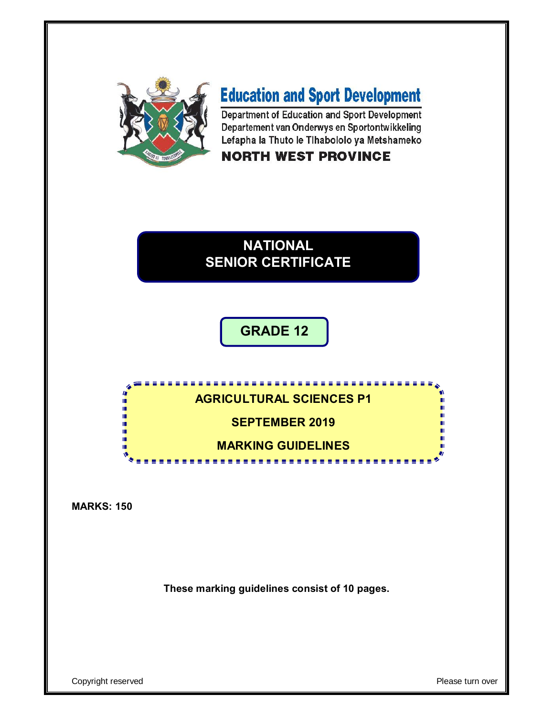

# **Education and Sport Development**

Department of Education and Sport Development Departement van Onderwys en Sportontwikkeling Lefapha la Thuto le Tihabololo ya Metshameko

## **NORTH WEST PROVINCE**

## **NATIONAL SENIOR CERTIFICATE**

## **GRADE 12**



**MARKS: 150**

**These marking guidelines consist of 10 pages.**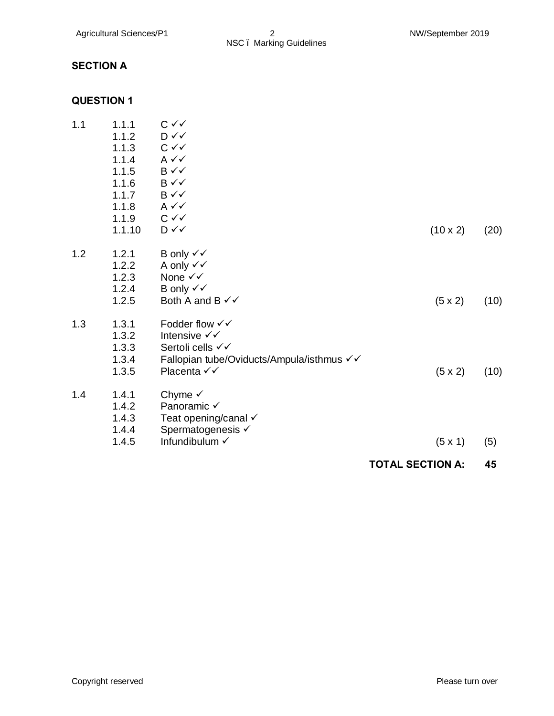## **SECTION A**

## **QUESTION 1**

| 1.1 | 1.1.1<br>1.1.2 | $C \vee C$<br>$D \checkmark$              |                         |      |
|-----|----------------|-------------------------------------------|-------------------------|------|
|     | 1.1.3          | $C \vee C$                                |                         |      |
|     | 1.1.4          | $A \vee C$                                |                         |      |
|     | 1.1.5          | $B \checkmark$                            |                         |      |
|     | 1.1.6          | $B \checkmark$                            |                         |      |
|     | 1.1.7          | $B \checkmark$                            |                         |      |
|     | 1.1.8          | $A \vee C$                                |                         |      |
|     | 1.1.9          | $C \vee C$                                |                         |      |
|     | 1.1.10         | $D \checkmark$                            | $(10 \times 2)$         | (20) |
| 1.2 | 1.2.1          | B only $\checkmark\checkmark$             |                         |      |
|     | 1.2.2          | A only $\checkmark\checkmark$             |                         |      |
|     | 1.2.3          | None $\checkmark\checkmark$               |                         |      |
|     | 1.2.4          | B only $\checkmark\checkmark$             |                         |      |
|     | 1.2.5          | Both A and B $\checkmark\checkmark$       | $(5 \times 2)$          | (10) |
| 1.3 | 1.3.1          | Fodder flow $\checkmark\checkmark$        |                         |      |
|     | 1.3.2          | Intensive √√                              |                         |      |
|     | 1.3.3          | Sertoli cells √√                          |                         |      |
|     | 1.3.4          | Fallopian tube/Oviducts/Ampula/isthmus √√ |                         |      |
|     | 1.3.5          | Placenta √√                               | $(5 \times 2)$          | (10) |
| 1.4 | 1.4.1          | Chyme $\checkmark$                        |                         |      |
|     | 1.4.2          | Panoramic √                               |                         |      |
|     | 1.4.3          | Teat opening/canal v                      |                         |      |
|     | 1.4.4          | Spermatogenesis √                         |                         |      |
|     | 1.4.5          | Infundibulum V                            | (5x1)                   | (5)  |
|     |                |                                           | <b>TOTAL SECTION A:</b> | 45   |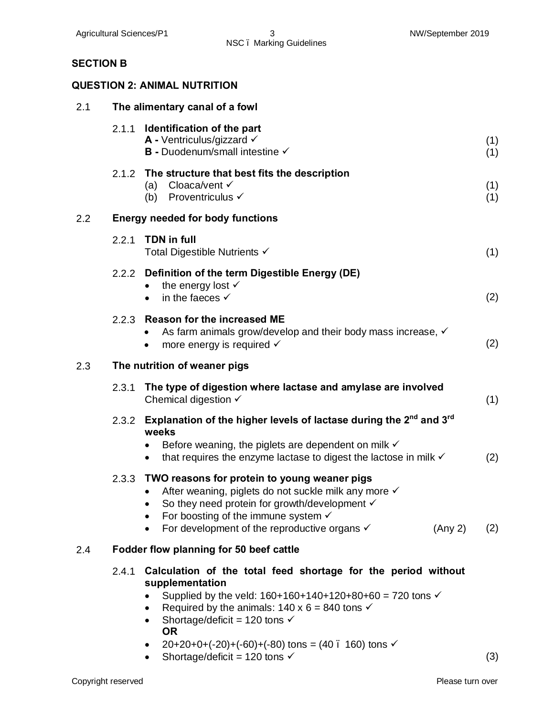## **SECTION B**

### **QUESTION 2: ANIMAL NUTRITION**

| 2.1 | The alimentary canal of a fowl |                                                                                                                                                                                                                                                                                                                                                                                                                                     |            |  |  |  |  |  |  |  |  |  |
|-----|--------------------------------|-------------------------------------------------------------------------------------------------------------------------------------------------------------------------------------------------------------------------------------------------------------------------------------------------------------------------------------------------------------------------------------------------------------------------------------|------------|--|--|--|--|--|--|--|--|--|
|     | 2.1.1                          | Identification of the part<br><b>A</b> - Ventriculus/gizzard $\checkmark$<br>B - Duodenum/small intestine V                                                                                                                                                                                                                                                                                                                         | (1)<br>(1) |  |  |  |  |  |  |  |  |  |
|     | 2.1.2                          | The structure that best fits the description<br>Cloaca/vent V<br>(a)<br>Proventriculus √<br>(b)                                                                                                                                                                                                                                                                                                                                     | (1)<br>(1) |  |  |  |  |  |  |  |  |  |
| 2.2 |                                | <b>Energy needed for body functions</b>                                                                                                                                                                                                                                                                                                                                                                                             |            |  |  |  |  |  |  |  |  |  |
|     | 2.2.1                          | <b>TDN in full</b><br>Total Digestible Nutrients √                                                                                                                                                                                                                                                                                                                                                                                  | (1)        |  |  |  |  |  |  |  |  |  |
|     |                                | 2.2.2 Definition of the term Digestible Energy (DE)<br>the energy lost $\checkmark$<br>in the faeces $\checkmark$<br>$\bullet$                                                                                                                                                                                                                                                                                                      | (2)        |  |  |  |  |  |  |  |  |  |
|     |                                | 2.2.3 Reason for the increased ME<br>As farm animals grow/develop and their body mass increase, √<br>more energy is required $\checkmark$<br>$\bullet$                                                                                                                                                                                                                                                                              | (2)        |  |  |  |  |  |  |  |  |  |
| 2.3 |                                | The nutrition of weaner pigs                                                                                                                                                                                                                                                                                                                                                                                                        |            |  |  |  |  |  |  |  |  |  |
|     | 2.3.1                          | The type of digestion where lactase and amylase are involved<br>Chemical digestion $\checkmark$                                                                                                                                                                                                                                                                                                                                     | (1)        |  |  |  |  |  |  |  |  |  |
|     | 2.3.2                          | Explanation of the higher levels of lactase during the 2 <sup>nd</sup> and 3 <sup>rd</sup><br>weeks<br>Before weaning, the piglets are dependent on milk $\checkmark$<br>that requires the enzyme lactase to digest the lactose in milk v<br>$\bullet$                                                                                                                                                                              | (2)        |  |  |  |  |  |  |  |  |  |
|     | 2.3.3                          | TWO reasons for protein to young weaner pigs<br>After weaning, piglets do not suckle milk any more √<br>So they need protein for growth/development √<br>For boosting of the immune system $\checkmark$<br>For development of the reproductive organs $\checkmark$<br>(Any 2)<br>$\bullet$                                                                                                                                          | (2)        |  |  |  |  |  |  |  |  |  |
| 2.4 |                                | Fodder flow planning for 50 beef cattle                                                                                                                                                                                                                                                                                                                                                                                             |            |  |  |  |  |  |  |  |  |  |
|     | 2.4.1                          | Calculation of the total feed shortage for the period without<br>supplementation<br>Supplied by the veld: $160+160+140+120+80+60 = 720$ tons $\checkmark$<br>Required by the animals: $140 \times 6 = 840$ tons $\checkmark$<br>$\bullet$<br>Shortage/deficit = 120 tons $\checkmark$<br>$\bullet$<br><b>OR</b><br>$20+20+0+(-20)+(-60)+(-80)$ tons = (40 . 160) tons $\checkmark$<br>Shortage/deficit = 120 tons $\checkmark$<br>٠ | (3)        |  |  |  |  |  |  |  |  |  |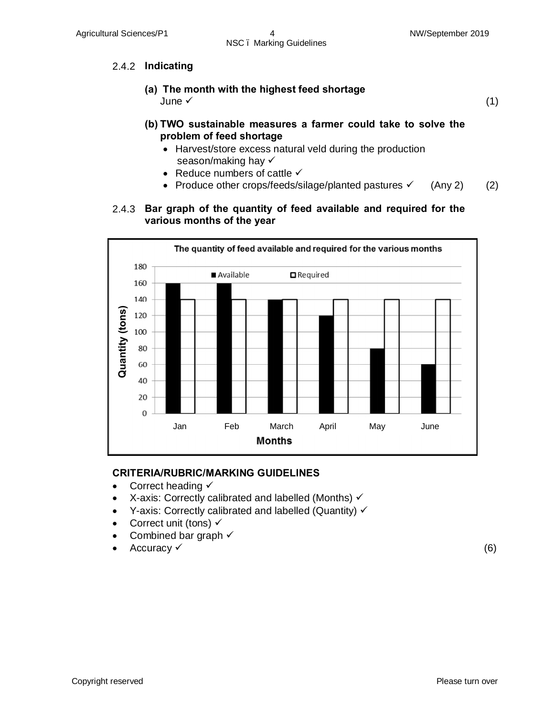## 2.4.2 **Indicating**

- **(a) The month with the highest feed shortage** June  $\checkmark$
- (1)
- **(b) TWO sustainable measures a farmer could take to solve the problem of feed shortage**
	- · Harvest/store excess natural veld during the production season/making hay  $\checkmark$
	- Reduce numbers of cattle  $\checkmark$
	- Produce other crops/feeds/silage/planted pastures  $\checkmark$  (Any 2) (2)

#### 2.4.3 **Bar graph of the quantity of feed available and required for the various months of the year**



### **CRITERIA/RUBRIC/MARKING GUIDELINES**

- Correct heading  $\checkmark$
- X-axis: Correctly calibrated and labelled (Months)  $\checkmark$
- Y-axis: Correctly calibrated and labelled (Quantity)  $\checkmark$
- Correct unit (tons)  $\checkmark$
- Combined bar graph  $\checkmark$
- Accuracy  $\checkmark$  (6)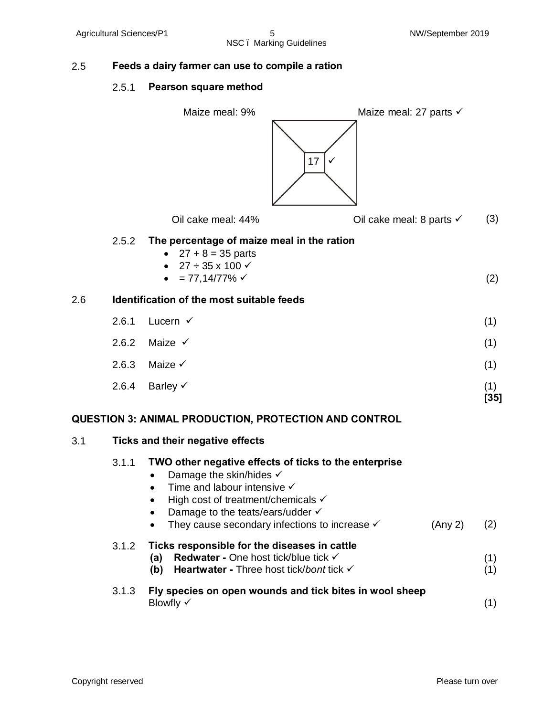## 2.5 **Feeds a dairy farmer can use to compile a ration**

### 2.5.1 **Pearson square method**

|     |                                                                                                                                                                                                                                                                                                 | Maize meal: 9%<br>Maize meal: 27 parts $\checkmark$<br>17                                                                                                          |               |  |  |  |  |  |  |  |
|-----|-------------------------------------------------------------------------------------------------------------------------------------------------------------------------------------------------------------------------------------------------------------------------------------------------|--------------------------------------------------------------------------------------------------------------------------------------------------------------------|---------------|--|--|--|--|--|--|--|
|     |                                                                                                                                                                                                                                                                                                 | Oil cake meal: 44%<br>Oil cake meal: 8 parts $\checkmark$                                                                                                          | (3)           |  |  |  |  |  |  |  |
|     | 2.5.2                                                                                                                                                                                                                                                                                           | The percentage of maize meal in the ration<br>• $27 + 8 = 35$ parts<br>$27 \div 35 \times 100 \checkmark$<br>$\bullet$<br>$= 77,14/77\%$ $\checkmark$<br>$\bullet$ | (2)           |  |  |  |  |  |  |  |
| 2.6 |                                                                                                                                                                                                                                                                                                 | Identification of the most suitable feeds                                                                                                                          |               |  |  |  |  |  |  |  |
|     | 2.6.1                                                                                                                                                                                                                                                                                           | Lucern $\checkmark$                                                                                                                                                | (1)           |  |  |  |  |  |  |  |
|     | 2.6.2                                                                                                                                                                                                                                                                                           | Maize $\checkmark$                                                                                                                                                 | (1)           |  |  |  |  |  |  |  |
|     | 2.6.3                                                                                                                                                                                                                                                                                           | Maize $\checkmark$                                                                                                                                                 | (1)           |  |  |  |  |  |  |  |
|     | 2.6.4                                                                                                                                                                                                                                                                                           | Barley $\checkmark$                                                                                                                                                | (1)<br>$[35]$ |  |  |  |  |  |  |  |
|     |                                                                                                                                                                                                                                                                                                 | <b>QUESTION 3: ANIMAL PRODUCTION, PROTECTION AND CONTROL</b>                                                                                                       |               |  |  |  |  |  |  |  |
| 3.1 |                                                                                                                                                                                                                                                                                                 | <b>Ticks and their negative effects</b>                                                                                                                            |               |  |  |  |  |  |  |  |
|     | TWO other negative effects of ticks to the enterprise<br>3.1.1<br>Damage the skin/hides √<br>Time and labour intensive $\checkmark$<br>High cost of treatment/chemicals $\checkmark$<br>Damage to the teats/ears/udder √<br>They cause secondary infections to increase $\checkmark$<br>(Any 2) |                                                                                                                                                                    |               |  |  |  |  |  |  |  |
|     | 3.1.2                                                                                                                                                                                                                                                                                           | Ticks responsible for the diseases in cattle<br><b>Redwater - One host tick/blue tick √</b><br>(a)<br>Heartwater - Three host tick/bont tick √<br>(b)              | (1)<br>(1)    |  |  |  |  |  |  |  |
|     | 3.1.3                                                                                                                                                                                                                                                                                           | Fly species on open wounds and tick bites in wool sheep<br>Blowfly $\checkmark$                                                                                    | (1)           |  |  |  |  |  |  |  |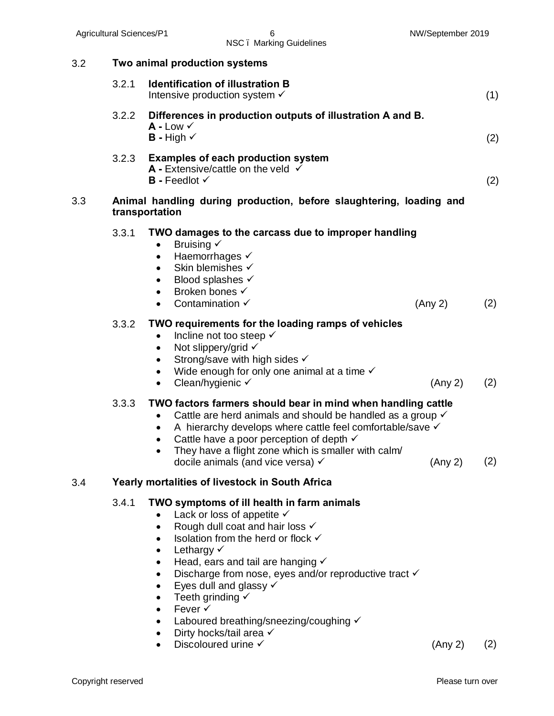| 3.2 | Two animal production systems |                                                                                                                                                                                                                                                                                                                                                                                                                                                                                                                                  |     |  |  |  |  |  |  |  |  |  |
|-----|-------------------------------|----------------------------------------------------------------------------------------------------------------------------------------------------------------------------------------------------------------------------------------------------------------------------------------------------------------------------------------------------------------------------------------------------------------------------------------------------------------------------------------------------------------------------------|-----|--|--|--|--|--|--|--|--|--|
|     | 3.2.1                         | <b>Identification of illustration B</b><br>Intensive production system √                                                                                                                                                                                                                                                                                                                                                                                                                                                         | (1) |  |  |  |  |  |  |  |  |  |
|     | 3.2.2                         | Differences in production outputs of illustration A and B.<br>$A$ - Low $\checkmark$<br><b>B</b> - High $\checkmark$                                                                                                                                                                                                                                                                                                                                                                                                             | (2) |  |  |  |  |  |  |  |  |  |
|     |                               | 3.2.3 Examples of each production system<br><b>A</b> - Extensive/cattle on the veld $\checkmark$<br>$B$ - Feedlot $\checkmark$                                                                                                                                                                                                                                                                                                                                                                                                   | (2) |  |  |  |  |  |  |  |  |  |
| 3.3 |                               | Animal handling during production, before slaughtering, loading and<br>transportation                                                                                                                                                                                                                                                                                                                                                                                                                                            |     |  |  |  |  |  |  |  |  |  |
|     | 3.3.1                         | TWO damages to the carcass due to improper handling<br>Bruising V<br>$\bullet$<br>Haemorrhages √<br>Skin blemishes √<br>$\bullet$<br>Blood splashes √<br>$\bullet$<br>Broken bones √<br>$\bullet$<br>Contamination $\checkmark$<br>(Any 2)<br>$\bullet$                                                                                                                                                                                                                                                                          | (2) |  |  |  |  |  |  |  |  |  |
|     | 3.3.2                         | TWO requirements for the loading ramps of vehicles<br>Incline not too steep √<br>Not slippery/grid √<br>$\bullet$<br>Strong/save with high sides √<br>٠<br>Wide enough for only one animal at a time $\checkmark$<br>$\bullet$<br>Clean/hygienic √<br>(Any 2)<br>$\bullet$                                                                                                                                                                                                                                                       | (2) |  |  |  |  |  |  |  |  |  |
|     | 3.3.3                         | TWO factors farmers should bear in mind when handling cattle<br>Cattle are herd animals and should be handled as a group $\checkmark$<br>$\bullet$<br>A hierarchy develops where cattle feel comfortable/save v<br>$\bullet$<br>Cattle have a poor perception of depth $\checkmark$<br>٠<br>They have a flight zone which is smaller with calm/<br>(Any 2)<br>docile animals (and vice versa) √                                                                                                                                  | (2) |  |  |  |  |  |  |  |  |  |
| 3.4 |                               | Yearly mortalities of livestock in South Africa                                                                                                                                                                                                                                                                                                                                                                                                                                                                                  |     |  |  |  |  |  |  |  |  |  |
|     | 3.4.1                         | TWO symptoms of ill health in farm animals<br>Lack or loss of appetite $\checkmark$<br>Rough dull coat and hair loss √<br>$\bullet$<br>Isolation from the herd or flock √<br>Lethargy $\checkmark$<br>$\bullet$<br>Head, ears and tail are hanging $\checkmark$<br>٠<br>Discharge from nose, eyes and/or reproductive tract √<br>Eyes dull and glassy $\checkmark$<br>Teeth grinding $\checkmark$<br>Fever √<br>$\bullet$<br>Laboured breathing/sneezing/coughing √<br>Dirty hocks/tail area √<br>Discoloured urine √<br>(Any 2) | (2) |  |  |  |  |  |  |  |  |  |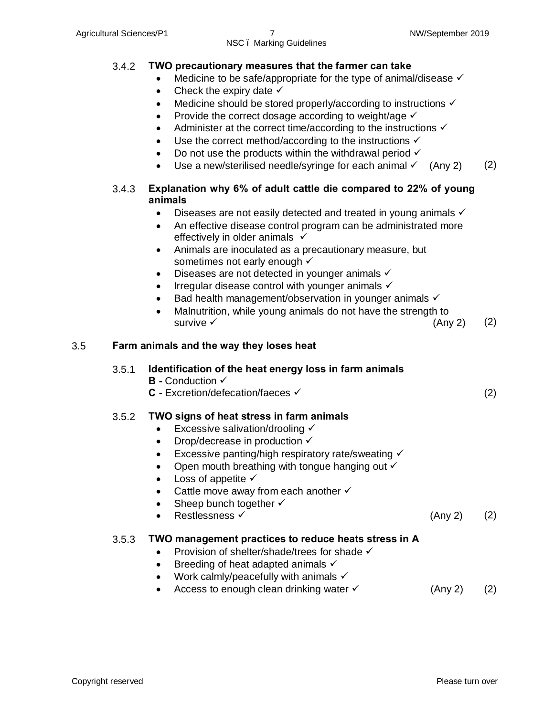#### 3.4.2 **TWO precautionary measures that the farmer can take**

- Medicine to be safe/appropriate for the type of animal/disease  $\checkmark$
- Check the expiry date  $\checkmark$
- Medicine should be stored properly/according to instructions  $\checkmark$
- Provide the correct dosage according to weight/age  $\checkmark$
- Administer at the correct time/according to the instructions  $\checkmark$
- Use the correct method/according to the instructions  $\checkmark$
- Do not use the products within the withdrawal period  $\checkmark$
- Use a new/sterilised needle/syringe for each animal  $\checkmark$  (Any 2) (2)

#### 3.4.3 **Explanation why 6% of adult cattle die compared to 22% of young animals**

- Diseases are not easily detected and treated in young animals  $\checkmark$
- An effective disease control program can be administrated more effectively in older animals  $\checkmark$
- · Animals are inoculated as a precautionary measure, but sometimes not early enough  $\checkmark$
- Diseases are not detected in younger animals  $\checkmark$
- Irregular disease control with younger animals  $\checkmark$
- Bad health management/observation in younger animals  $\checkmark$
- · Malnutrition, while young animals do not have the strength to survive  $\checkmark$  (Any 2) (2)

#### 3.5 **Farm animals and the way they loses heat**

#### 3.5.1 **Identification of the heat energy loss in farm animals**

- **B** Conduction  $\checkmark$
- C Excretion/defecation/faeces <del>✓</del> (2)

### 3.5.2 **TWO signs of heat stress in farm animals**

- Excessive salivation/drooling  $\checkmark$
- Drop/decrease in production  $\checkmark$
- Excessive panting/high respiratory rate/sweating  $\checkmark$
- Open mouth breathing with tongue hanging out  $\checkmark$
- Loss of appetite  $\checkmark$
- Cattle move away from each another  $\checkmark$
- Sheep bunch together  $\checkmark$
- $\text{Restlessness} \times (Any 2)$  (2)

#### 3.5.3 **TWO management practices to reduce heats stress in A**

- Provision of shelter/shade/trees for shade  $\checkmark$
- Breeding of heat adapted animals  $\checkmark$
- Work calmly/peacefully with animals  $\checkmark$
- Access to enough clean drinking water  $\checkmark$  (Any 2) (2)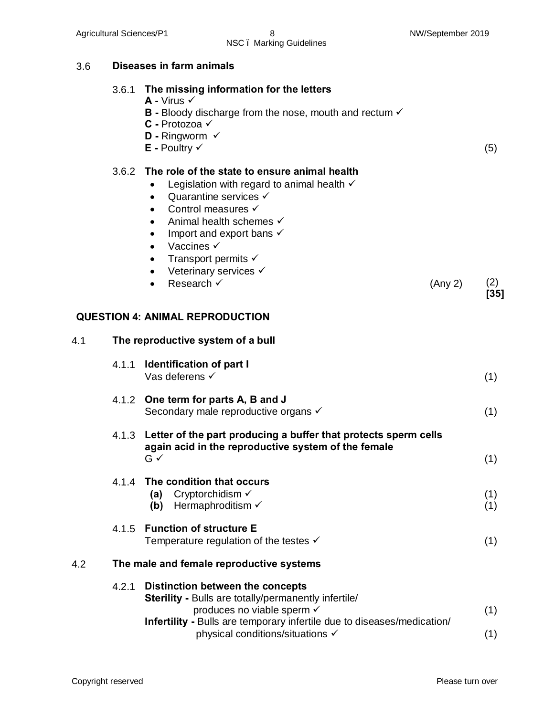3.6 **Diseases in farm animals** 

## NSC – Marking Guidelines

|     | 3.6.1 | The missing information for the letters<br>$A - V$ irus $\checkmark$<br><b>B</b> - Bloody discharge from the nose, mouth and rectum $\checkmark$<br>C - Protozoa √<br><b>D</b> - Ringworm $\checkmark$<br>$E$ - Poultry $\checkmark$                                                                                                                                                                                                           |         | (5)           |
|-----|-------|------------------------------------------------------------------------------------------------------------------------------------------------------------------------------------------------------------------------------------------------------------------------------------------------------------------------------------------------------------------------------------------------------------------------------------------------|---------|---------------|
|     | 3.6.2 | The role of the state to ensure animal health<br>Legislation with regard to animal health $\checkmark$<br>$\bullet$<br>Quarantine services $\checkmark$<br>$\bullet$<br>Control measures √<br>$\bullet$<br>Animal health schemes √<br>$\bullet$<br>Import and export bans $\checkmark$<br>$\bullet$<br>Vaccines √<br>$\bullet$<br>Transport permits $\checkmark$<br>$\bullet$<br>Veterinary services √<br>$\bullet$<br>Research √<br>$\bullet$ | (Any 2) | (2)<br>$[35]$ |
|     |       | <b>QUESTION 4: ANIMAL REPRODUCTION</b>                                                                                                                                                                                                                                                                                                                                                                                                         |         |               |
| 4.1 |       | The reproductive system of a bull                                                                                                                                                                                                                                                                                                                                                                                                              |         |               |
|     | 4.1.1 | <b>Identification of part I</b><br>Vas deferens √                                                                                                                                                                                                                                                                                                                                                                                              |         | (1)           |
|     | 4.1.2 | One term for parts A, B and J<br>Secondary male reproductive organs √                                                                                                                                                                                                                                                                                                                                                                          |         | (1)           |
|     |       | 4.1.3 Letter of the part producing a buffer that protects sperm cells<br>again acid in the reproductive system of the female<br>$G \checkmark$                                                                                                                                                                                                                                                                                                 |         | (1)           |
|     |       | 4.1.4 The condition that occurs<br>Cryptorchidism $\checkmark$<br>(a)<br>Hermaphroditism √<br>(b)                                                                                                                                                                                                                                                                                                                                              |         | (1)<br>(1)    |
|     | 4.1.5 | <b>Function of structure E</b><br>Temperature regulation of the testes $\checkmark$                                                                                                                                                                                                                                                                                                                                                            |         | (1)           |
| 4.2 |       | The male and female reproductive systems                                                                                                                                                                                                                                                                                                                                                                                                       |         | 71 I          |
|     | 4.2.1 | Distinction between the concepts<br><b>Sterility - Bulls are totally/permanently infertile/</b><br>aradugos no vioble coorm                                                                                                                                                                                                                                                                                                                    |         |               |

- produces no viable sperm  $\checkmark$ **Infertility -** Bulls are temporary infertile due to diseases/medication/ physical conditions/situations  $\checkmark$ (1) (1)
- Copyright reserved **Please** turn over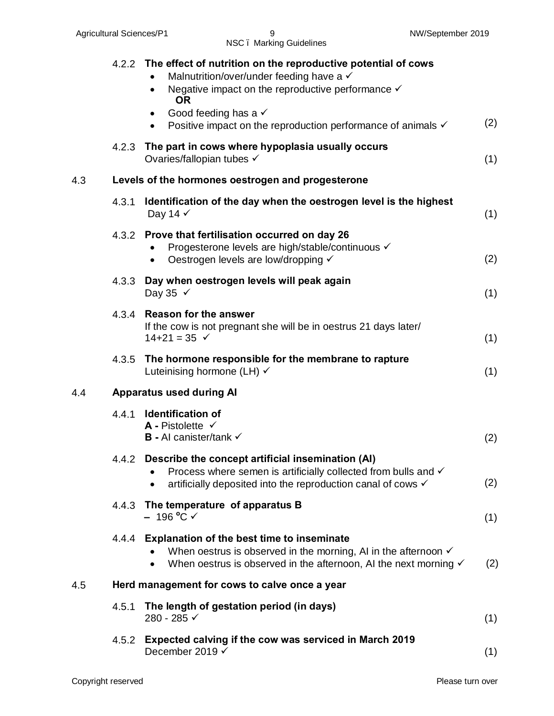|     |       | 4.2.2 The effect of nutrition on the reproductive potential of cows<br>Malnutrition/over/under feeding have a √<br>Negative impact on the reproductive performance $\checkmark$<br>$\bullet$<br><b>OR</b><br>Good feeding has a $\checkmark$<br>Positive impact on the reproduction performance of animals $\checkmark$ | (2) |  |  |  |  |  |  |  |
|-----|-------|-------------------------------------------------------------------------------------------------------------------------------------------------------------------------------------------------------------------------------------------------------------------------------------------------------------------------|-----|--|--|--|--|--|--|--|
|     | 4.2.3 | The part in cows where hypoplasia usually occurs<br>Ovaries/fallopian tubes √                                                                                                                                                                                                                                           | (1) |  |  |  |  |  |  |  |
| 4.3 |       | Levels of the hormones oestrogen and progesterone                                                                                                                                                                                                                                                                       |     |  |  |  |  |  |  |  |
|     | 4.3.1 | Identification of the day when the oestrogen level is the highest<br>Day 14 √                                                                                                                                                                                                                                           |     |  |  |  |  |  |  |  |
|     | 4.3.2 | Prove that fertilisation occurred on day 26<br>Progesterone levels are high/stable/continuous √<br>Oestrogen levels are low/dropping √<br>$\bullet$                                                                                                                                                                     | (2) |  |  |  |  |  |  |  |
|     | 4.3.3 | Day when oestrogen levels will peak again<br>Day 35 $\checkmark$                                                                                                                                                                                                                                                        | (1) |  |  |  |  |  |  |  |
|     |       | 4.3.4 Reason for the answer<br>If the cow is not pregnant she will be in oestrus 21 days later/<br>$14 + 21 = 35$ $\checkmark$                                                                                                                                                                                          | (1) |  |  |  |  |  |  |  |
|     |       | 4.3.5 The hormone responsible for the membrane to rapture<br>Luteinising hormone (LH) √                                                                                                                                                                                                                                 | (1) |  |  |  |  |  |  |  |
| 4.4 |       | <b>Apparatus used during AI</b>                                                                                                                                                                                                                                                                                         |     |  |  |  |  |  |  |  |
|     | 4.4.1 | <b>Identification of</b><br>$\overline{A}$ - Pistolette $\checkmark$<br><b>B</b> - AI canister/tank $\checkmark$                                                                                                                                                                                                        | (2) |  |  |  |  |  |  |  |
|     |       | 4.4.2 Describe the concept artificial insemination (AI)<br>Process where semen is artificially collected from bulls and √<br>artificially deposited into the reproduction canal of cows $\checkmark$<br>$\bullet$                                                                                                       | (2) |  |  |  |  |  |  |  |
|     | 4.4.3 | The temperature of apparatus B<br>– 196 °C ✓                                                                                                                                                                                                                                                                            | (1) |  |  |  |  |  |  |  |
|     | 4.4.4 | <b>Explanation of the best time to inseminate</b><br>When oestrus is observed in the morning, AI in the afternoon $\checkmark$<br>When oestrus is observed in the afternoon, AI the next morning √                                                                                                                      | (2) |  |  |  |  |  |  |  |
| 4.5 |       | Herd management for cows to calve once a year                                                                                                                                                                                                                                                                           |     |  |  |  |  |  |  |  |
|     | 4.5.1 | The length of gestation period (in days)<br>280 - 285 √                                                                                                                                                                                                                                                                 | (1) |  |  |  |  |  |  |  |
|     | 4.5.2 | Expected calving if the cow was serviced in March 2019<br>December 2019 √                                                                                                                                                                                                                                               | (1) |  |  |  |  |  |  |  |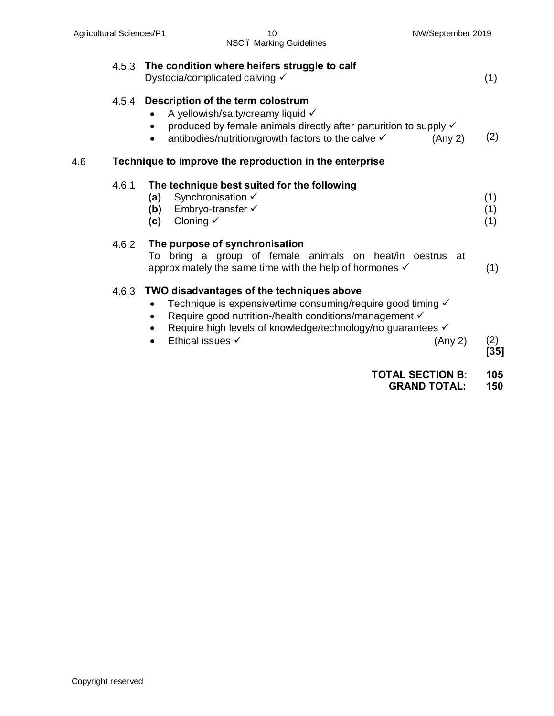|     | 4.5.3 | The condition where heifers struggle to calf<br>Dystocia/complicated calving $\checkmark$                                                                                                                                                             | (1)               |
|-----|-------|-------------------------------------------------------------------------------------------------------------------------------------------------------------------------------------------------------------------------------------------------------|-------------------|
|     | 4.5.4 | Description of the term colostrum<br>A yellowish/salty/creamy liquid √<br>produced by female animals directly after parturition to supply √<br>antibodies/nutrition/growth factors to the calve √<br>(Any 2)                                          | (2)               |
| 4.6 |       | Technique to improve the reproduction in the enterprise                                                                                                                                                                                               |                   |
|     | 4.6.1 | The technique best suited for the following<br>Synchronisation √<br>(a)<br>Embryo-transfer √<br>(b)<br>Cloning $\checkmark$<br>(c)                                                                                                                    | (1)<br>(1)<br>(1) |
|     | 4.6.2 | The purpose of synchronisation<br>bring a group of female animals on heat/in<br>To<br>oestrus at<br>approximately the same time with the help of hormones √                                                                                           | (1)               |
|     | 4.6.3 | TWO disadvantages of the techniques above<br>Technique is expensive/time consuming/require good timing √<br>Require good nutrition-/health conditions/management √<br>Require high levels of knowledge/technology/no guarantees √<br>Ethical issues √ |                   |
|     |       | (Any 2)                                                                                                                                                                                                                                               | (2)<br>$[35]$     |
|     |       | <b>TOTAL SECTION B:</b>                                                                                                                                                                                                                               | 105               |

 **GRAND TOTAL: 150**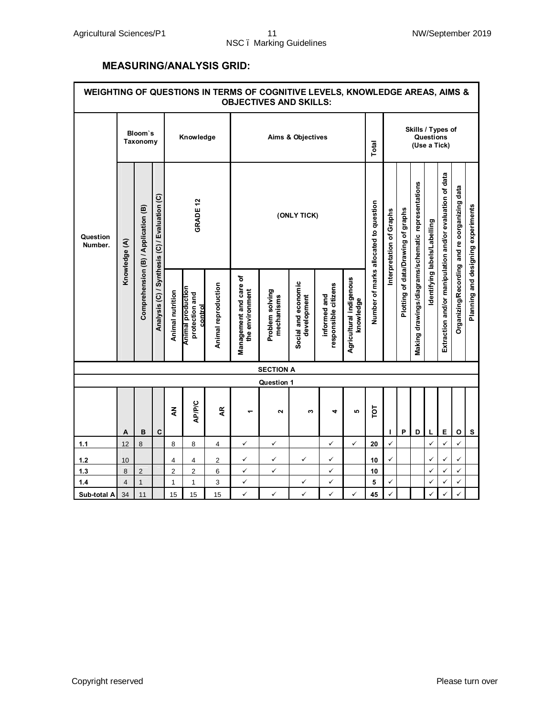#### **MEASURING/ANALYSIS GRID:**

| WEIGHTING OF QUESTIONS IN TERMS OF COGNITIVE LEVELS, KNOWLEDGE AREAS, AIMS &<br><b>OBJECTIVES AND SKILLS:</b> |                |                                     |                                               |                |                  |                                                       |                     |                                           |                               |                                    |                                      |                                       |                                                |                                    |                                                    |                             |                                                          |                                              |                                    |
|---------------------------------------------------------------------------------------------------------------|----------------|-------------------------------------|-----------------------------------------------|----------------|------------------|-------------------------------------------------------|---------------------|-------------------------------------------|-------------------------------|------------------------------------|--------------------------------------|---------------------------------------|------------------------------------------------|------------------------------------|----------------------------------------------------|-----------------------------|----------------------------------------------------------|----------------------------------------------|------------------------------------|
| Question<br>Number.                                                                                           |                | Bloom's<br>Taxonomy                 |                                               |                | Knowledge        |                                                       | Aims & Objectives   |                                           |                               |                                    |                                      |                                       | Skills / Types of<br>Questions<br>(Use a Tick) |                                    |                                                    |                             |                                                          |                                              |                                    |
|                                                                                                               | Knowledge (A)  | Comprehension (B) / Application (B) | Analysis (C) / Synthesis (C) / Evaluation (C) |                | <b>GRADE 12</b>  |                                                       |                     |                                           | (ONLY TICK)                   |                                    |                                      | Number of marks allocated to question | Interpretation of Graphs                       | Plotting of data/Drawing of graphs | Making drawings/diagrams/schematic representations | dentifying labels/Labelling | Extraction and/or manipulation and/or evaluation of data | Organizing/Recording and re oorganizing data | Planning and designing experiments |
|                                                                                                               |                |                                     |                                               |                | Animal nutrition | <b>Animal production</b><br>protection and<br>control | Animal reproduction | Management and care of<br>the environment | Problem solving<br>mechanisms | Social and economic<br>development | responsible citizens<br>informed and | Agricultural indigenous<br>knowledge  |                                                |                                    |                                                    |                             |                                                          |                                              |                                    |
|                                                                                                               |                |                                     |                                               |                |                  |                                                       |                     | <b>SECTION A</b>                          |                               |                                    |                                      |                                       |                                                |                                    |                                                    |                             |                                                          |                                              |                                    |
|                                                                                                               |                |                                     |                                               |                |                  |                                                       |                     | Question 1                                |                               |                                    |                                      |                                       |                                                |                                    |                                                    |                             |                                                          |                                              |                                    |
|                                                                                                               | A              | B                                   | $\mathbf c$                                   | $\tilde{\xi}$  | AP/P/C           | ĄR                                                    |                     | 2                                         | ω                             | 4                                  | ю                                    | ĪОТ                                   |                                                | P                                  | D                                                  | L                           | Е                                                        | $\mathbf{o}$                                 | s                                  |
| $1.1$                                                                                                         | 12             | 8                                   |                                               | 8              | 8                | 4                                                     | ✓                   | $\checkmark$                              |                               | ✓                                  | ✓                                    | 20                                    | ✓                                              |                                    |                                                    | ✓                           | ✓                                                        | ✓                                            |                                    |
| $1.2$                                                                                                         | 10             |                                     |                                               | 4              | 4                | 2                                                     | ✓                   | ✓                                         | ✓                             | ✓                                  |                                      | 10                                    | ✓                                              |                                    |                                                    | ✓                           | ✓                                                        | ✓                                            |                                    |
| $1.3$                                                                                                         | 8              | $\overline{2}$                      |                                               | $\overline{2}$ | 2                | 6                                                     | $\checkmark$        | ✓                                         |                               | ✓                                  |                                      | 10                                    |                                                |                                    |                                                    | ✓                           | ✓                                                        | $\checkmark$                                 |                                    |
| 1.4                                                                                                           | $\overline{4}$ | $\overline{1}$                      |                                               | $\mathbf{1}$   | 1                | 3                                                     | $\checkmark$        |                                           | ✓                             | ✓                                  |                                      | 5                                     | ✓                                              |                                    |                                                    | ✓                           | ✓                                                        | $\checkmark$                                 |                                    |
| Sub-total A                                                                                                   | 34             | 11                                  |                                               | 15             | 15               | 15                                                    | $\checkmark$        | ✓                                         | ✓                             | $\checkmark$                       | ✓                                    | 45                                    | ✓                                              |                                    |                                                    | ✓                           | ✓                                                        | ✓                                            |                                    |